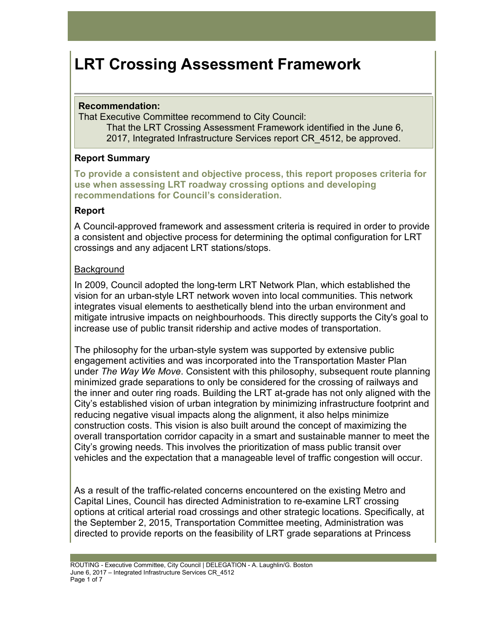# **LRT Crossing Assessment Framework**

## **Recommendation:**

That Executive Committee recommend to City Council:

That the LRT Crossing Assessment Framework identified in the June 6, 2017, Integrated Infrastructure Services report CR\_4512, be approved.

# **Report Summary**

**To provide a consistent and objective process, this report proposes criteria for use when assessing LRT roadway crossing options and developing recommendations for Council's consideration.** 

## **Report**

A Council-approved framework and assessment criteria is required in order to provide a consistent and objective process for determining the optimal configuration for LRT crossings and any adjacent LRT stations/stops.

# **Background**

In 2009, Council adopted the long-term LRT Network Plan, which established the vision for an urban-style LRT network woven into local communities. This network integrates visual elements to aesthetically blend into the urban environment and mitigate intrusive impacts on neighbourhoods. This directly supports the City's goal to increase use of public transit ridership and active modes of transportation.

The philosophy for the urban-style system was supported by extensive public engagement activities and was incorporated into the Transportation Master Plan under *The Way We Move*. Consistent with this philosophy, subsequent route planning minimized grade separations to only be considered for the crossing of railways and the inner and outer ring roads. Building the LRT at-grade has not only aligned with the City's established vision of urban integration by minimizing infrastructure footprint and reducing negative visual impacts along the alignment, it also helps minimize construction costs. This vision is also built around the concept of maximizing the overall transportation corridor capacity in a smart and sustainable manner to meet the City's growing needs. This involves the prioritization of mass public transit over vehicles and the expectation that a manageable level of traffic congestion will occur.

As a result of the traffic-related concerns encountered on the existing Metro and Capital Lines, Council has directed Administration to re-examine LRT crossing options at critical arterial road crossings and other strategic locations. Specifically, at the September 2, 2015, Transportation Committee meeting, Administration was directed to provide reports on the feasibility of LRT grade separations at Princess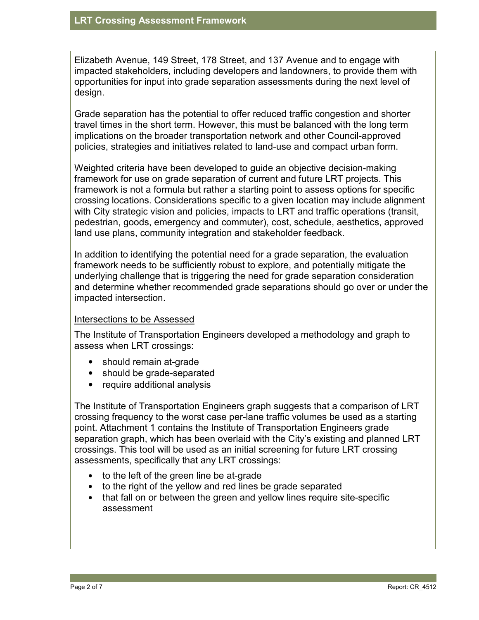Elizabeth Avenue, 149 Street, 178 Street, and 137 Avenue and to engage with impacted stakeholders, including developers and landowners, to provide them with opportunities for input into grade separation assessments during the next level of design.

Grade separation has the potential to offer reduced traffic congestion and shorter travel times in the short term. However, this must be balanced with the long term implications on the broader transportation network and other Council-approved policies, strategies and initiatives related to land-use and compact urban form.

Weighted criteria have been developed to guide an objective decision-making framework for use on grade separation of current and future LRT projects. This framework is not a formula but rather a starting point to assess options for specific crossing locations. Considerations specific to a given location may include alignment with City strategic vision and policies, impacts to LRT and traffic operations (transit, pedestrian, goods, emergency and commuter), cost, schedule, aesthetics, approved land use plans, community integration and stakeholder feedback.

In addition to identifying the potential need for a grade separation, the evaluation framework needs to be sufficiently robust to explore, and potentially mitigate the underlying challenge that is triggering the need for grade separation consideration and determine whether recommended grade separations should go over or under the impacted intersection.

## Intersections to be Assessed

The Institute of Transportation Engineers developed a methodology and graph to assess when LRT crossings:

- should remain at-grade
- should be grade-separated
- require additional analysis

The Institute of Transportation Engineers graph suggests that a comparison of LRT crossing frequency to the worst case per-lane traffic volumes be used as a starting point. Attachment 1 contains the Institute of Transportation Engineers grade separation graph, which has been overlaid with the City's existing and planned LRT crossings. This tool will be used as an initial screening for future LRT crossing assessments, specifically that any LRT crossings:

- to the left of the green line be at-grade
- to the right of the yellow and red lines be grade separated
- that fall on or between the green and yellow lines require site-specific assessment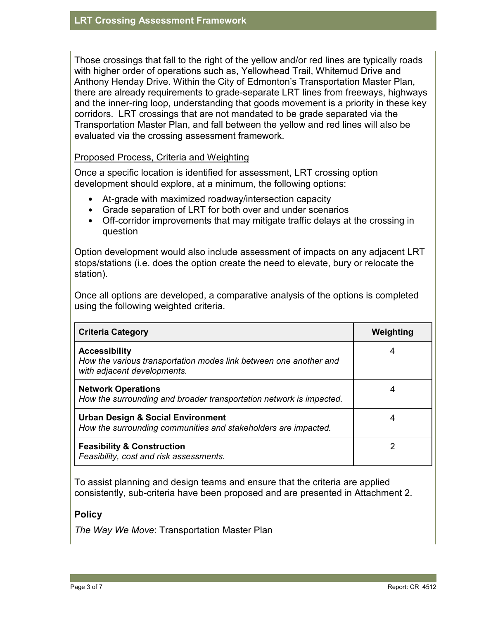Those crossings that fall to the right of the yellow and/or red lines are typically roads with higher order of operations such as, Yellowhead Trail, Whitemud Drive and Anthony Henday Drive. Within the City of Edmonton's Transportation Master Plan, there are already requirements to grade-separate LRT lines from freeways, highways and the inner-ring loop, understanding that goods movement is a priority in these key corridors. LRT crossings that are not mandated to be grade separated via the Transportation Master Plan, and fall between the yellow and red lines will also be evaluated via the crossing assessment framework.

## Proposed Process, Criteria and Weighting

Once a specific location is identified for assessment, LRT crossing option development should explore, at a minimum, the following options:

- At-grade with maximized roadway/intersection capacity
- Grade separation of LRT for both over and under scenarios
- Off-corridor improvements that may mitigate traffic delays at the crossing in question

Option development would also include assessment of impacts on any adjacent LRT stops/stations (i.e. does the option create the need to elevate, bury or relocate the station).

Once all options are developed, a comparative analysis of the options is completed using the following weighted criteria.

| <b>Criteria Category</b>                                                                                                 | Weighting |
|--------------------------------------------------------------------------------------------------------------------------|-----------|
| <b>Accessibility</b><br>How the various transportation modes link between one another and<br>with adjacent developments. | 4         |
| <b>Network Operations</b><br>How the surrounding and broader transportation network is impacted.                         |           |
| <b>Urban Design &amp; Social Environment</b><br>How the surrounding communities and stakeholders are impacted.           | 4         |
| <b>Feasibility &amp; Construction</b><br>Feasibility, cost and risk assessments.                                         | 2         |

To assist planning and design teams and ensure that the criteria are applied consistently, sub-criteria have been proposed and are presented in Attachment 2.

# **Policy**

*The Way We Move*: Transportation Master Plan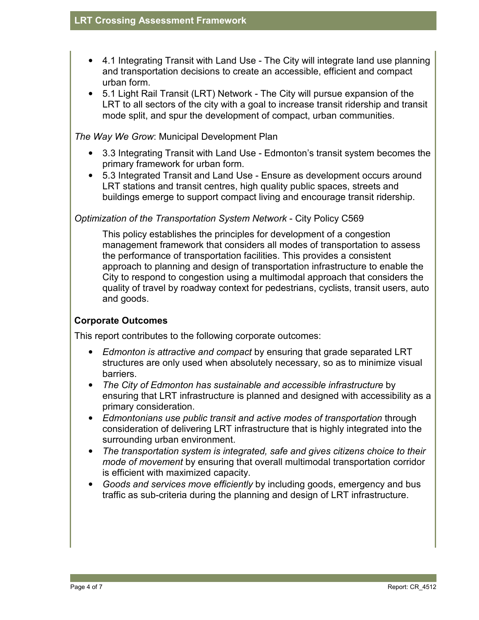- 4.1 Integrating Transit with Land Use The City will integrate land use planning and transportation decisions to create an accessible, efficient and compact urban form.
- 5.1 Light Rail Transit (LRT) Network The City will pursue expansion of the LRT to all sectors of the city with a goal to increase transit ridership and transit mode split, and spur the development of compact, urban communities.

*The Way We Grow*: Municipal Development Plan

- 3.3 Integrating Transit with Land Use Edmonton's transit system becomes the primary framework for urban form.
- 5.3 Integrated Transit and Land Use Ensure as development occurs around LRT stations and transit centres, high quality public spaces, streets and buildings emerge to support compact living and encourage transit ridership.

# *Optimization of the Transportation System Network* - City Policy C569

This policy establishes the principles for development of a congestion management framework that considers all modes of transportation to assess the performance of transportation facilities. This provides a consistent approach to planning and design of transportation infrastructure to enable the City to respond to congestion using a multimodal approach that considers the quality of travel by roadway context for pedestrians, cyclists, transit users, auto and goods.

# **Corporate Outcomes**

This report contributes to the following corporate outcomes:

- *Edmonton is attractive and compact* by ensuring that grade separated LRT structures are only used when absolutely necessary, so as to minimize visual barriers.
- *The City of Edmonton has sustainable and accessible infrastructure* by ensuring that LRT infrastructure is planned and designed with accessibility as a primary consideration.
- *Edmontonians use public transit and active modes of transportation* through consideration of delivering LRT infrastructure that is highly integrated into the surrounding urban environment.
- *The transportation system is integrated, safe and gives citizens choice to their mode of movement* by ensuring that overall multimodal transportation corridor is efficient with maximized capacity.
- *Goods and services move efficiently* by including goods, emergency and bus traffic as sub-criteria during the planning and design of LRT infrastructure.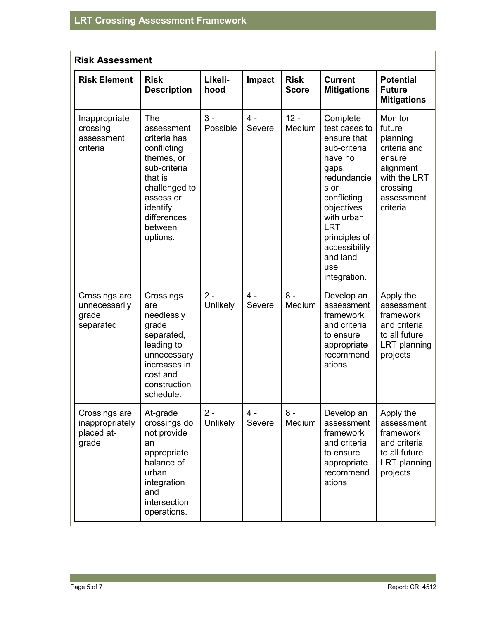| <b>Risk Assessment</b> |  |
|------------------------|--|
|------------------------|--|

| <b>Risk Element</b>                                     | <b>Risk</b><br><b>Description</b>                                                                                                                                         | Likeli-<br>hood   | Impact          | <b>Risk</b><br><b>Score</b> | <b>Current</b><br><b>Mitigations</b>                                                                                                                                                                                              | <b>Potential</b><br><b>Future</b><br><b>Mitigations</b>                                                                    |
|---------------------------------------------------------|---------------------------------------------------------------------------------------------------------------------------------------------------------------------------|-------------------|-----------------|-----------------------------|-----------------------------------------------------------------------------------------------------------------------------------------------------------------------------------------------------------------------------------|----------------------------------------------------------------------------------------------------------------------------|
| Inappropriate<br>crossing<br>assessment<br>criteria     | The<br>assessment<br>criteria has<br>conflicting<br>themes, or<br>sub-criteria<br>that is<br>challenged to<br>assess or<br>identify<br>differences<br>between<br>options. | $3 -$<br>Possible | $4 -$<br>Severe | $12 -$<br>Medium            | Complete<br>test cases to<br>ensure that<br>sub-criteria<br>have no<br>gaps,<br>redundancie<br>s or<br>conflicting<br>objectives<br>with urban<br><b>LRT</b><br>principles of<br>accessibility<br>and land<br>use<br>integration. | Monitor<br>future<br>planning<br>criteria and<br>ensure<br>alignment<br>with the LRT<br>crossing<br>assessment<br>criteria |
| Crossings are<br>unnecessarily<br>grade<br>separated    | Crossings<br>are<br>needlessly<br>grade<br>separated,<br>leading to<br>unnecessary<br>increases in<br>cost and<br>construction<br>schedule.                               | $2 -$<br>Unlikely | $4 -$<br>Severe | $8 -$<br>Medium             | Develop an<br>assessment<br>framework<br>and criteria<br>to ensure<br>appropriate<br>recommend<br>ations                                                                                                                          | Apply the<br>assessment<br>framework<br>and criteria<br>to all future<br>LRT planning<br>projects                          |
| Crossings are<br>inappropriately<br>placed at-<br>grade | At-grade<br>crossings do<br>not provide<br>an<br>appropriate<br>balance of<br>urban<br>integration<br>and<br>intersection<br>operations.                                  | $2 -$<br>Unlikely | $4 -$<br>Severe | $8 -$<br>Medium             | Develop an<br>assessment<br>framework<br>and criteria<br>to ensure<br>appropriate<br>recommend<br>ations                                                                                                                          | Apply the<br>assessment<br>framework<br>and criteria<br>to all future<br>LRT planning<br>projects                          |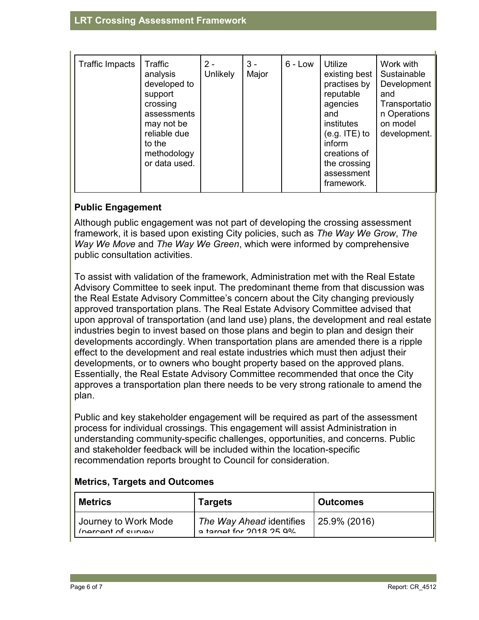| <b>Traffic Impacts</b> | Traffic<br>analysis<br>developed to<br>support<br>crossing<br>assessments<br>may not be<br>reliable due<br>to the<br>methodology<br>or data used. | $2 -$<br><b>Unlikely</b> | $3 -$<br>Major | $6 - Low$ | Utilize<br>existing best<br>practises by<br>reputable<br>agencies<br>and<br>institutes<br>$(e.g. ITE)$ to<br>inform<br>creations of<br>the crossing<br>assessment<br>framework. | Work with<br>Sustainable<br>Development<br>and<br>Transportatio<br>n Operations<br>on model<br>development. |
|------------------------|---------------------------------------------------------------------------------------------------------------------------------------------------|--------------------------|----------------|-----------|---------------------------------------------------------------------------------------------------------------------------------------------------------------------------------|-------------------------------------------------------------------------------------------------------------|
|------------------------|---------------------------------------------------------------------------------------------------------------------------------------------------|--------------------------|----------------|-----------|---------------------------------------------------------------------------------------------------------------------------------------------------------------------------------|-------------------------------------------------------------------------------------------------------------|

# **Public Engagement**

Although public engagement was not part of developing the crossing assessment framework, it is based upon existing City policies, such as *The Way We Grow*, *The Way We Move* and *The Way We Green*, which were informed by comprehensive public consultation activities.

To assist with validation of the framework, Administration met with the Real Estate Advisory Committee to seek input. The predominant theme from that discussion was the Real Estate Advisory Committee's concern about the City changing previously approved transportation plans. The Real Estate Advisory Committee advised that upon approval of transportation (and land use) plans, the development and real estate industries begin to invest based on those plans and begin to plan and design their developments accordingly. When transportation plans are amended there is a ripple effect to the development and real estate industries which must then adjust their developments, or to owners who bought property based on the approved plans. Essentially, the Real Estate Advisory Committee recommended that once the City approves a transportation plan there needs to be very strong rationale to amend the plan.

Public and key stakeholder engagement will be required as part of the assessment process for individual crossings. This engagement will assist Administration in understanding community-specific challenges, opportunities, and concerns. Public and stakeholder feedback will be included within the location-specific recommendation reports brought to Council for consideration.

| <b>Metrics, Targets and Outcomes</b> |  |  |  |  |
|--------------------------------------|--|--|--|--|
|--------------------------------------|--|--|--|--|

| <b>Metrics</b>                             | <b>Targets</b>                                      | <b>Outcomes</b>   |
|--------------------------------------------|-----------------------------------------------------|-------------------|
| Journey to Work Mode<br>(parcent of curvey | The Way Ahead identifies<br>a target for 2018 25 0% | $ 25.9\% (2016) $ |